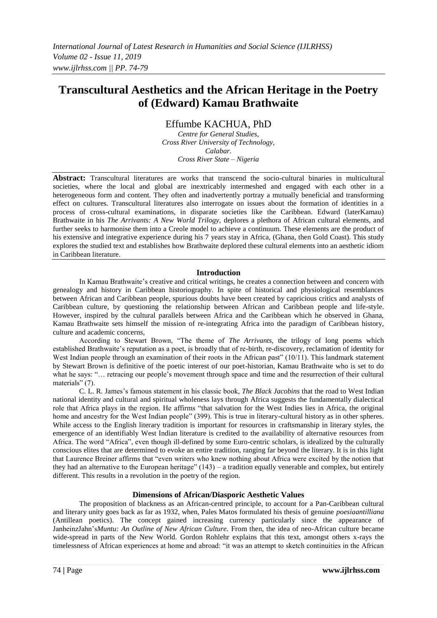# **Transcultural Aesthetics and the African Heritage in the Poetry of (Edward) Kamau Brathwaite**

Effumbe KACHUA, PhD

*Centre for General Studies, Cross River University of Technology, Calabar. Cross River State – Nigeria*

**Abstract:** Transcultural literatures are works that transcend the socio-cultural binaries in multicultural societies, where the local and global are inextricably intermeshed and engaged with each other in a heterogeneous form and content. They often and inadvertently portray a mutually beneficial and transforming effect on cultures. Transcultural literatures also interrogate on issues about the formation of identities in a process of cross-cultural examinations, in disparate societies like the Caribbean. Edward (laterKamau) Brathwaite in his *The Arrivants: A New World Trilogy,* deplores a plethora of African cultural elements, and further seeks to harmonise them into a Creole model to achieve a continuum. These elements are the product of his extensive and integrative experience during his 7 years stay in Africa, (Ghana, then Gold Coast). This study explores the studied text and establishes how Brathwaite deplored these cultural elements into an aesthetic idiom in Caribbean literature.

## **Introduction**

In Kamau Brathwaite's creative and critical writings, he creates a connection between and concern with genealogy and history in Caribbean historiography. In spite of historical and physiological resemblances between African and Caribbean people, spurious doubts have been created by capricious critics and analysts of Caribbean culture, by questioning the relationship between African and Caribbean people and life-style. However, inspired by the cultural parallels between Africa and the Caribbean which he observed in Ghana, Kamau Brathwaite sets himself the mission of re-integrating Africa into the paradigm of Caribbean history, culture and academic concerns,

According to Stewart Brown, "The theme of *The Arrivants,* the trilogy of long poems which established Brathwaite's reputation as a poet, is broadly that of re-birth, re-discovery, reclamation of identity for West Indian people through an examination of their roots in the African past" (10/11). This landmark statement by Stewart Brown is definitive of the poetic interest of our poet-historian, Kamau Brathwaite who is set to do what he says: "... retracing our people's movement through space and time and the resurrection of their cultural materials" (7).

C. L. R. James's famous statement in his classic book, *The Black Jacobins* that the road to West Indian national identity and cultural and spiritual wholeness lays through Africa suggests the fundamentally dialectical role that Africa plays in the region. He affirms "that salvation for the West Indies lies in Africa, the original home and ancestry for the West Indian people" (399). This is true in literary-cultural history as in other spheres. While access to the English literary tradition is important for resources in craftsmanship in literary styles, the emergence of an identifiably West Indian literature is credited to the availability of alternative resources from Africa. The word "Africa", even though ill-defined by some Euro-centric scholars, is idealized by the culturally conscious elites that are determined to evoke an entire tradition, ranging far beyond the literary. It is in this light that Laurence Breiner affirms that "even writers who knew nothing about Africa were excited by the notion that they had an alternative to the European heritage" (143) – a tradition equally venerable and complex, but entirely different. This results in a revolution in the poetry of the region.

# **Dimensions of African/Diasporic Aesthetic Values**

The proposition of blackness as an African-centred principle, to account for a Pan-Caribbean cultural and literary unity goes back as far as 1932, when, Pales Matos formulated his thesis of genuine *poesiaantilliana* (Antillean poetics). The concept gained increasing currency particularly since the appearance of JanheinzJahn's*Muntu: An Outline of New African Culture.* From then, the idea of neo-African culture became wide-spread in parts of the New World. Gordon Rohlehr explains that this text, amongst others x-rays the timelessness of African experiences at home and abroad: "it was an attempt to sketch continuities in the African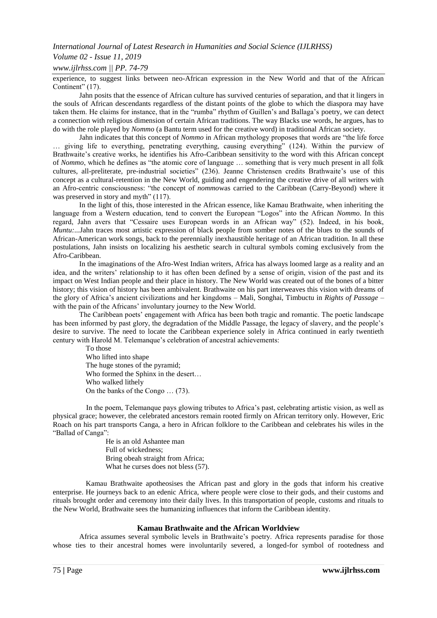## *International Journal of Latest Research in Humanities and Social Science (IJLRHSS)*

## *Volume 02 - Issue 11, 2019*

*www.ijlrhss.com || PP. 74-79*

experience, to suggest links between neo-African expression in the New World and that of the African Continent" (17).

Jahn posits that the essence of African culture has survived centuries of separation, and that it lingers in the souls of African descendants regardless of the distant points of the globe to which the diaspora may have taken them. He claims for instance, that in the "rumba" rhythm of Guillen's and Ballaga's poetry, we can detect a connection with religious dimension of certain African traditions. The way Blacks use words, he argues, has to do with the role played by *Nommo* (a Bantu term used for the creative word) in traditional African society.

Jahn indicates that this concept of *Nommo* in African mythology proposes that words are "the life force … giving life to everything, penetrating everything, causing everything" (124). Within the purview of Brathwaite's creative works, he identifies his Afro-Caribbean sensitivity to the word with this African concept of *Nommo*, which he defines as "the atomic core of language … something that is very much present in all folk cultures, all-preliterate, pre-industrial societies" (236). Jeanne Christensen credits Brathwaite's use of this concept as a cultural-retention in the New World, guiding and engendering the creative drive of all writers with an Afro-centric consciousness: "the concept of *nommo*was carried to the Caribbean (Carry-Beyond) where it was preserved in story and myth" (117).

In the light of this, those interested in the African essence, like Kamau Brathwaite, when inheriting the language from a Western education, tend to convert the European "Logos" into the African *Nommo*. In this regard, Jahn avers that "Cessaire uses European words in an African way" (52). Indeed, in his book, *Muntu:...*Jahn traces most artistic expression of black people from somber notes of the blues to the sounds of African-American work songs, back to the perennially inexhaustible heritage of an African tradition. In all these postulations, Jahn insists on localizing his aesthetic search in cultural symbols coming exclusively from the Afro-Caribbean.

In the imaginations of the Afro-West Indian writers, Africa has always loomed large as a reality and an idea, and the writers' relationship to it has often been defined by a sense of origin, vision of the past and its impact on West Indian people and their place in history. The New World was created out of the bones of a bitter history; this vision of history has been ambivalent. Brathwaite on his part interweaves this vision with dreams of the glory of Africa's ancient civilizations and her kingdoms – Mali, Songhai, Timbuctu in *Rights of Passage* – with the pain of the Africans' involuntary journey to the New World.

The Caribbean poets' engagement with Africa has been both tragic and romantic. The poetic landscape has been informed by past glory, the degradation of the Middle Passage, the legacy of slavery, and the people's desire to survive. The need to locate the Caribbean experience solely in Africa continued in early twentieth century with Harold M. Telemanque's celebration of ancestral achievements:

To those Who lifted into shape The huge stones of the pyramid; Who formed the Sphinx in the desert... Who walked lithely On the banks of the Congo … (73).

In the poem, Telemanque pays glowing tributes to Africa's past, celebrating artistic vision, as well as physical grace; however, the celebrated ancestors remain rooted firmly on African territory only. However, Eric Roach on his part transports Canga, a hero in African folklore to the Caribbean and celebrates his wiles in the "Ballad of Canga":

> He is an old Ashantee man Full of wickedness; Bring obeah straight from Africa; What he curses does not bless (57).

Kamau Brathwaite apotheosises the African past and glory in the gods that inform his creative enterprise. He journeys back to an edenic Africa, where people were close to their gods, and their customs and rituals brought order and ceremony into their daily lives. In this transportation of people, customs and rituals to the New World, Brathwaite sees the humanizing influences that inform the Caribbean identity.

#### **Kamau Brathwaite and the African Worldview**

Africa assumes several symbolic levels in Brathwaite's poetry. Africa represents paradise for those whose ties to their ancestral homes were involuntarily severed, a longed-for symbol of rootedness and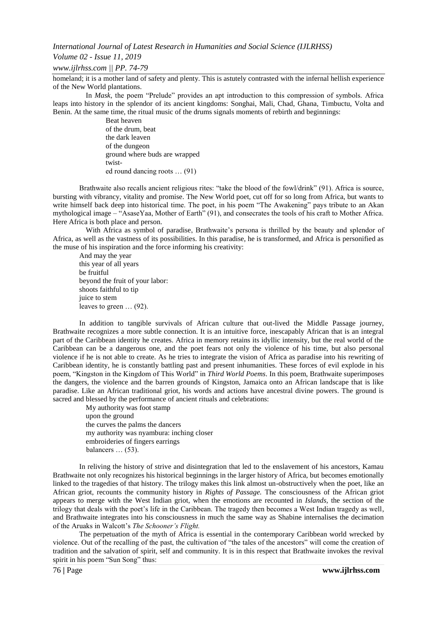*International Journal of Latest Research in Humanities and Social Science (IJLRHSS)*

#### *Volume 02 - Issue 11, 2019*

*www.ijlrhss.com || PP. 74-79*

homeland; it is a mother land of safety and plenty. This is astutely contrasted with the infernal hellish experience of the New World plantations.

In *Mask,* the poem "Prelude" provides an apt introduction to this compression of symbols. Africa leaps into history in the splendor of its ancient kingdoms: Songhai, Mali, Chad, Ghana, Timbuctu, Volta and Benin. At the same time, the ritual music of the drums signals moments of rebirth and beginnings:

Beat heaven of the drum, beat the dark leaven of the dungeon ground where buds are wrapped twisted round dancing roots … (91)

Brathwaite also recalls ancient religious rites: "take the blood of the fowl/drink" (91). Africa is source, bursting with vibrancy, vitality and promise. The New World poet, cut off for so long from Africa, but wants to write himself back deep into historical time. The poet, in his poem "The Awakening" pays tribute to an Akan mythological image – "AsaseYaa, Mother of Earth" (91), and consecrates the tools of his craft to Mother Africa. Here Africa is both place and person.

With Africa as symbol of paradise, Brathwaite's persona is thrilled by the beauty and splendor of Africa, as well as the vastness of its possibilities. In this paradise, he is transformed, and Africa is personified as the muse of his inspiration and the force informing his creativity:

And may the year this year of all years be fruitful beyond the fruit of your labor: shoots faithful to tip juice to stem leaves to green … (92).

In addition to tangible survivals of African culture that out-lived the Middle Passage journey, Brathwaite recognizes a more subtle connection. It is an intuitive force, inescapably African that is an integral part of the Caribbean identity he creates. Africa in memory retains its idyllic intensity, but the real world of the Caribbean can be a dangerous one, and the poet fears not only the violence of his time, but also personal violence if he is not able to create. As he tries to integrate the vision of Africa as paradise into his rewriting of Caribbean identity, he is constantly battling past and present inhumanities. These forces of evil explode in his poem, "Kingston in the Kingdom of This World" in *Third World Poems*. In this poem, Brathwaite superimposes the dangers, the violence and the barren grounds of Kingston, Jamaica onto an African landscape that is like paradise. Like an African traditional griot, his words and actions have ancestral divine powers. The ground is sacred and blessed by the performance of ancient rituals and celebrations:

My authority was foot stamp upon the ground the curves the palms the dancers my authority was nyambura: inching closer embroideries of fingers earrings balancers ... (53).

In reliving the history of strive and disintegration that led to the enslavement of his ancestors, Kamau Brathwaite not only recognizes his historical beginnings in the larger history of Africa, but becomes emotionally linked to the tragedies of that history. The trilogy makes this link almost un-obstructively when the poet, like an African griot, recounts the community history in *Rights of Passage.* The consciousness of the African griot appears to merge with the West Indian griot, when the emotions are recounted in *Islands,* the section of the trilogy that deals with the poet's life in the Caribbean. The tragedy then becomes a West Indian tragedy as well, and Brathwaite integrates into his consciousness in much the same way as Shabine internalises the decimation of the Aruaks in Walcott's *The Schooner's Flight.*

The perpetuation of the myth of Africa is essential in the contemporary Caribbean world wrecked by violence. Out of the recalling of the past, the cultivation of "the tales of the ancestors" will come the creation of tradition and the salvation of spirit, self and community. It is in this respect that Brathwaite invokes the revival spirit in his poem "Sun Song" thus: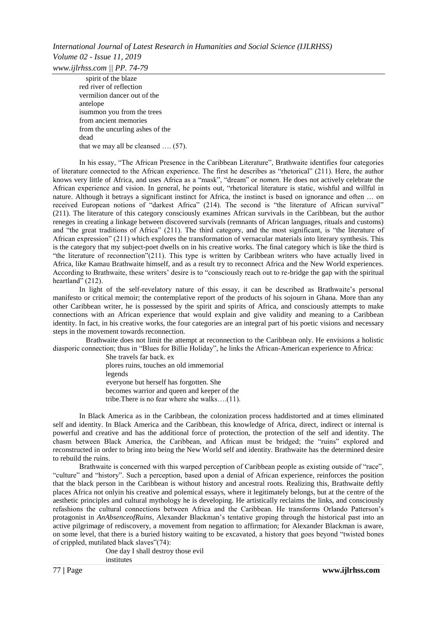spirit of the blaze red river of reflection vermilion dancer out of the antelope isummon you from the trees from ancient memories from the uncurling ashes of the dead that we may all be cleansed …. (57).

In his essay, "The African Presence in the Caribbean Literature", Brathwaite identifies four categories of literature connected to the African experience. The first he describes as "rhetorical" (211). Here, the author knows very little of Africa, and uses Africa as a "mask", "dream" or *nomen.* He does not actively celebrate the African experience and vision. In general, he points out, "rhetorical literature is static, wishful and willful in nature. Although it betrays a significant instinct for Africa, the instinct is based on ignorance and often … on received European notions of "darkest Africa" (214). The second is "the literature of African survival" (211). The literature of this category consciously examines African survivals in the Caribbean, but the author reneges in creating a linkage between discovered survivals (remnants of African languages, rituals and customs) and "the great traditions of Africa" (211). The third category, and the most significant, is "the literature of African expression" (211) which explores the transformation of vernacular materials into literary synthesis. This is the category that my subject-poet dwells on in his creative works. The final category which is like the third is "the literature of reconnection"(211). This type is written by Caribbean writers who have actually lived in Africa, like Kamau Brathwaite himself, and as a result try to reconnect Africa and the New World experiences. According to Brathwaite, these writers' desire is to "consciously reach out to re-bridge the gap with the spiritual heartland" (212).

In light of the self-revelatory nature of this essay, it can be described as Brathwaite's personal manifesto or critical memoir; the contemplative report of the products of his sojourn in Ghana. More than any other Caribbean writer, he is possessed by the spirit and spirits of Africa, and consciously attempts to make connections with an African experience that would explain and give validity and meaning to a Caribbean identity. In fact, in his creative works, the four categories are an integral part of his poetic visions and necessary steps in the movement towards reconnection.

Brathwaite does not limit the attempt at reconnection to the Caribbean only. He envisions a holistic diasporic connection; thus in "Blues for Billie Holiday", he links the African-American experience to Africa:

She travels far back. ex

plores ruins, touches an old immemorial

legends

everyone but herself has forgotten. She

becomes warrior and queen and keeper of the

tribe.There is no fear where she walks….(11).

In Black America as in the Caribbean, the colonization process haddistorted and at times eliminated self and identity. In Black America and the Caribbean, this knowledge of Africa, direct, indirect or internal is powerful and creative and has the additional force of protection, the protection of the self and identity. The chasm between Black America, the Caribbean, and African must be bridged; the "ruins" explored and reconstructed in order to bring into being the New World self and identity. Brathwaite has the determined desire to rebuild the ruins.

Brathwaite is concerned with this warped perception of Caribbean people as existing outside of "race", "culture" and "history". Such a perception, based upon a denial of African experience, reinforces the position that the black person in the Caribbean is without history and ancestral roots. Realizing this, Brathwaite deftly places Africa not onlyin his creative and polemical essays, where it legitimately belongs, but at the centre of the aesthetic principles and cultural mythology he is developing. He artistically reclaims the links, and consciously refashions the cultural connections between Africa and the Caribbean. He transforms Orlando Patterson's protagonist in *AnAbsenceofRuins*, Alexander Blackman's tentative groping through the historical past into an active pilgrimage of rediscovery, a movement from negation to affirmation; for Alexander Blackman is aware, on some level, that there is a buried history waiting to be excavated, a history that goes beyond "twisted bones of crippled, mutilated black slaves"(74):

One day I shall destroy those evil institutes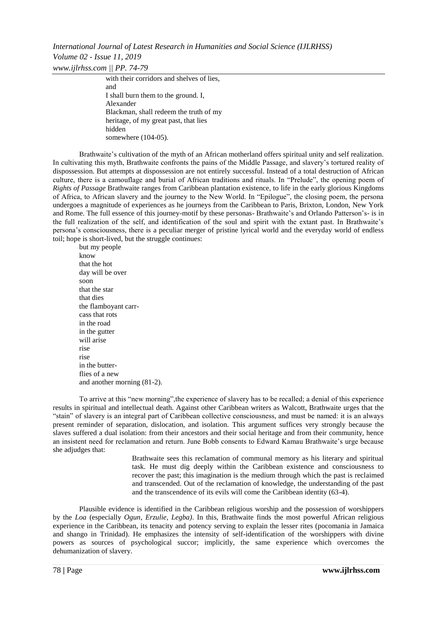*International Journal of Latest Research in Humanities and Social Science (IJLRHSS) Volume 02 - Issue 11, 2019 www.ijlrhss.com || PP. 74-79*

> with their corridors and shelves of lies. and I shall burn them to the ground. I, Alexander Blackman, shall redeem the truth of my heritage, of my great past, that lies hidden somewhere (104-05).

Brathwaite's cultivation of the myth of an African motherland offers spiritual unity and self realization. In cultivating this myth, Brathwaite confronts the pains of the Middle Passage, and slavery's tortured reality of dispossession. But attempts at dispossession are not entirely successful. Instead of a total destruction of African culture, there is a camouflage and burial of African traditions and rituals. In "Prelude", the opening poem of *Rights of Passage* Brathwaite ranges from Caribbean plantation existence, to life in the early glorious Kingdoms of Africa, to African slavery and the journey to the New World. In "Epilogue", the closing poem, the persona undergoes a magnitude of experiences as he journeys from the Caribbean to Paris, Brixton, London, New York and Rome. The full essence of this journey-motif by these personas- Brathwaite's and Orlando Patterson's- is in the full realization of the self, and identification of the soul and spirit with the extant past. In Brathwaite's persona's consciousness, there is a peculiar merger of pristine lyrical world and the everyday world of endless toil; hope is short-lived, but the struggle continues:

but my people know that the hot day will be over soon that the star that dies the flamboyant carrcass that rots in the road in the gutter will arise rise rise in the butterflies of a new and another morning (81-2).

To arrive at this "new morning",the experience of slavery has to be recalled; a denial of this experience results in spiritual and intellectual death. Against other Caribbean writers as Walcott, Brathwaite urges that the "stain" of slavery is an integral part of Caribbean collective consciousness, and must be named: it is an always present reminder of separation, dislocation, and isolation. This argument suffices very strongly because the slaves suffered a dual isolation: from their ancestors and their social heritage and from their community, hence an insistent need for reclamation and return. June Bobb consents to Edward Kamau Brathwaite's urge because she adjudges that:

Brathwaite sees this reclamation of communal memory as his literary and spiritual task. He must dig deeply within the Caribbean existence and consciousness to recover the past; this imagination is the medium through which the past is reclaimed and transcended. Out of the reclamation of knowledge, the understanding of the past and the transcendence of its evils will come the Caribbean identity (63-4).

Plausible evidence is identified in the Caribbean religious worship and the possession of worshippers by the *Loa* (especially *Ogun*, *Erzulie, Legba)*. In this, Brathwaite finds the most powerful African religious experience in the Caribbean, its tenacity and potency serving to explain the lesser rites (pocomania in Jamaica and shango in Trinidad). He emphasizes the intensity of self-identification of the worshippers with divine powers as sources of psychological succor; implicitly, the same experience which overcomes the dehumanization of slavery.